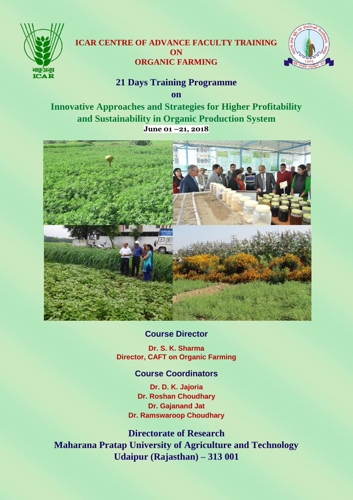

# **ICAR CENTRE OF ADVANCE FACULTY TRAINING ON ORGANIC FARMING**



# **21 Days Training Programme**

**on**

**Innovative Approaches and Strategies for Higher Profitability and Sustainability in Organic Production System June 01 –21, 2018**



## **Course Director**

**Dr. S. K. Sharma Director, CAFT on Organic Farming**

## **Course Coordinators**

**Dr. D. K. Jajoria Dr. Roshan Choudhary Dr. Gajanand Jat Dr. Ramswaroop Choudhary**

**Directorate of Research Maharana Pratap University of Agriculture and Technology Udaipur (Rajasthan) – 313 001**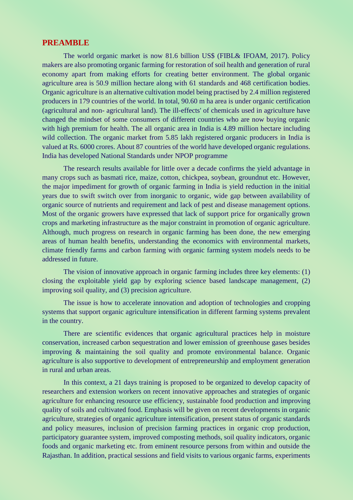#### **PREAMBLE**

The world organic market is now 81.6 billion US\$ (FIBL& IFOAM, 2017). Policy makers are also promoting organic farming for restoration of soil health and generation of rural economy apart from making efforts for creating better environment. The global organic agriculture area is 50.9 million hectare along with 61 standards and 468 certification bodies. Organic agriculture is an alternative cultivation model being practised by 2.4 million registered producers in 179 countries of the world. In total, 90.60 m ha area is under organic certification (agricultural and non- agricultural land). The ill-effects' of chemicals used in agriculture have changed the mindset of some consumers of different countries who are now buying organic with high premium for health. The all organic area in India is 4.89 million hectare including wild collection. The organic market from 5.85 lakh registered organic producers in India is valued at Rs. 6000 crores. About 87 countries of the world have developed organic regulations. India has developed National Standards under NPOP programme

The research results available for little over a decade confirms the yield advantage in many crops such as basmati rice, maize, cotton, chickpea, soybean, groundnut etc. However, the major impediment for growth of organic farming in India is yield reduction in the initial years due to swift switch over from inorganic to organic, wide gap between availability of organic source of nutrients and requirement and lack of pest and disease management options. Most of the organic growers have expressed that lack of support price for organically grown crops and marketing infrastructure as the major constraint in promotion of organic agriculture. Although, much progress on research in organic farming has been done, the new emerging areas of human health benefits, understanding the economics with environmental markets, climate friendly farms and carbon farming with organic farming system models needs to be addressed in future.

The vision of innovative approach in organic farming includes three key elements: (1) closing the exploitable yield gap by exploring science based landscape management, (2) improving soil quality, and (3) precision agriculture.

The issue is how to accelerate innovation and adoption of technologies and cropping systems that support organic agriculture intensification in different farming systems prevalent in the country.

There are scientific evidences that organic agricultural practices help in moisture conservation, increased carbon sequestration and lower emission of greenhouse gases besides improving & maintaining the soil quality and promote environmental balance. Organic agriculture is also supportive to development of entrepreneurship and employment generation in rural and urban areas.

In this context, a 21 days training is proposed to be organized to develop capacity of researchers and extension workers on recent innovative approaches and strategies of organic agriculture for enhancing resource use efficiency, sustainable food production and improving quality of soils and cultivated food. Emphasis will be given on recent developments in organic agriculture, strategies of organic agriculture intensification, present status of organic standards and policy measures, inclusion of precision farming practices in organic crop production, participatory guarantee system, improved composting methods, soil quality indicators, organic foods and organic marketing etc. from eminent resource persons from within and outside the Rajasthan. In addition, practical sessions and field visits to various organic farms, experiments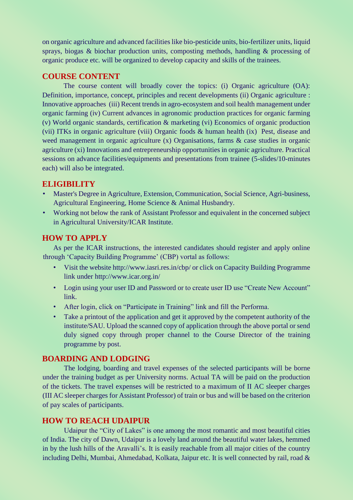on organic agriculture and advanced facilities like bio-pesticide units, bio-fertilizer units, liquid sprays, biogas & biochar production units, composting methods, handling & processing of organic produce etc. will be organized to develop capacity and skills of the trainees.

### **COURSE CONTENT**

The course content will broadly cover the topics: (i) Organic agriculture (OA): Definition, importance, concept, principles and recent developments (ii) Organic agriculture : Innovative approaches (iii) Recent trends in agro-ecosystem and soil health management under organic farming (iv) Current advances in agronomic production practices for organic farming (v) World organic standards, certification & marketing (vi) Economics of organic production (vii) ITKs in organic agriculture (viii) Organic foods & human health (ix) Pest, disease and weed management in organic agriculture (x) Organisations, farms & case studies in organic agriculture (xi) Innovations and entrepreneurship opportunities in organic agriculture. Practical sessions on advance facilities/equipments and presentations from trainee (5-slides/10-minutes each) will also be integrated.

### **ELIGIBILITY**

- Master's Degree in Agriculture, Extension, Communication, Social Science, Agri-business, Agricultural Engineering, Home Science & Animal Husbandry.
- Working not below the rank of Assistant Professor and equivalent in the concerned subject in Agricultural University/ICAR Institute.

### **HOW TO APPLY**

As per the ICAR instructions, the interested candidates should register and apply online through 'Capacity Building Programme' (CBP) vortal as follows:

- Visit the website http://www.iasri.res.in/cbp/ or click on Capacity Building Programme link under http://www.icar.org.in/
- Login using your user ID and Password or to create user ID use "Create New Account" link.
- After login, click on "Participate in Training" link and fill the Performa.
- Take a printout of the application and get it approved by the competent authority of the institute/SAU. Upload the scanned copy of application through the above portal or send duly signed copy through proper channel to the Course Director of the training programme by post.

#### **BOARDING AND LODGING**

The lodging, boarding and travel expenses of the selected participants will be borne under the training budget as per University norms. Actual TA will be paid on the production of the tickets. The travel expenses will be restricted to a maximum of II AC sleeper charges (III AC sleeper charges for Assistant Professor) of train or bus and will be based on the criterion of pay scales of participants.

### **HOW TO REACH UDAIPUR**

Udaipur the "City of Lakes" is one among the most romantic and most beautiful cities of India. The city of Dawn, Udaipur is a lovely land around the beautiful water lakes, hemmed in by the lush hills of the Aravalli's. It is easily reachable from all major cities of the country including Delhi, Mumbai, Ahmedabad, Kolkata, Jaipur etc. It is well connected by rail, road &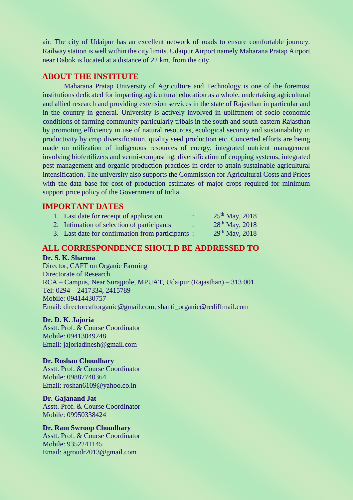air. The city of Udaipur has an excellent network of roads to ensure comfortable journey. Railway station is well within the city limits. Udaipur Airport namely Maharana Pratap Airport near Dabok is located at a distance of 22 km. from the city.

### **ABOUT THE INSTITUTE**

Maharana Pratap University of Agriculture and Technology is one of the foremost institutions dedicated for imparting agricultural education as a whole, undertaking agricultural and allied research and providing extension services in the state of Rajasthan in particular and in the country in general. University is actively involved in upliftment of socio-economic conditions of farming community particularly tribals in the south and south-eastern Rajasthan by promoting efficiency in use of natural resources, ecological security and sustainability in productivity by crop diversification, quality seed production etc. Concerted efforts are being made on utilization of indigenous resources of energy, integrated nutrient management involving biofertilizers and vermi-composting, diversification of cropping systems, integrated pest management and organic production practices in order to attain sustainable agricultural intensification. The university also supports the Commission for Agricultural Costs and Prices with the data base for cost of production estimates of major crops required for minimum support price policy of the Government of India.

#### **IMPORTANT DATES**

| 1. Last date for receipt of application          | $25^{th}$ May, 2018 |
|--------------------------------------------------|---------------------|
| 2. Intimation of selection of participants       | $28^{th}$ May, 2018 |
| 3. Last date for confirmation from participants: | $29^{th}$ May, 2018 |

#### **ALL CORRESPONDENCE SHOULD BE ADDRESSED TO**

#### **Dr. S. K. Sharma**

Director, CAFT on Organic Farming Directorate of Research RCA – Campus, Near Surajpole, MPUAT, Udaipur (Rajasthan) – 313 001 Tel: 0294 – 2417334, 2415789 Mobile: 09414430757 Email: directorcaftorganic@gmail.com, shanti\_organic@rediffmail.com

#### **Dr. D. K. Jajoria**

Asstt. Prof. & Course Coordinator Mobile: 09413049248 Email: jajoriadinesh@gmail.com

#### **Dr. Roshan Choudhary**

Asstt. Prof. & Course Coordinator Mobile: 09887740364 Email: roshan6109@yahoo.co.in

#### **Dr. Gajanand Jat**

Asstt. Prof. & Course Coordinator Mobile: 09950338424

#### **Dr. Ram Swroop Choudhary**

Asstt. Prof. & Course Coordinator Mobile: 9352241145 Email: agroudr2013@gmail.com